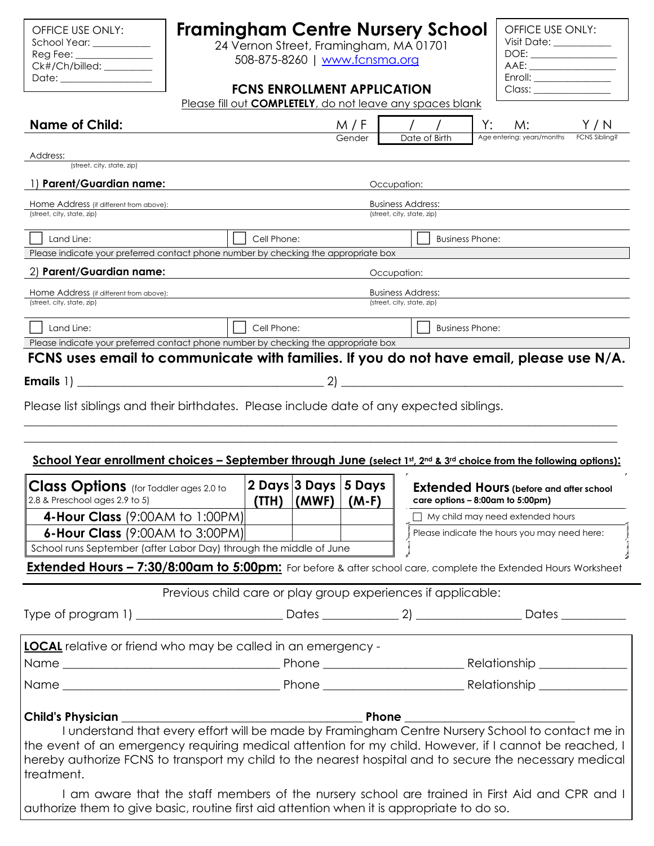| OFFICE USE ONLY: |
|------------------|
| School Year:     |
| Reg Fee:         |
| Ck#/Ch/billed:   |
| Date:            |

# **Framingham Centre Nursery School**

24 Vernon Street, Framingham, MA 01701 508-875-8260 | [www.fcnsma.org](http://www.fcnsma.org/)

| OFFICE USE ONLY:                                                                                                                                                                                                               |
|--------------------------------------------------------------------------------------------------------------------------------------------------------------------------------------------------------------------------------|
| Visit Date: ____________                                                                                                                                                                                                       |
| DOE:                                                                                                                                                                                                                           |
|                                                                                                                                                                                                                                |
| Enroll: <b>Enroll</b>                                                                                                                                                                                                          |
| Class: Class Company of the Company of the Company of the Company of the Company of the Company of the Company of the Company of the Company of the Company of the Company of the Company of the Company of the Company of the |
|                                                                                                                                                                                                                                |

### **FCNS ENROLLMENT APPLICATION**

Please fill out **COMPLETELY**, do not leave any spaces blank

| <b>Name of Child:</b>                                                                                                                                                                                      |                                                              | M / F   | Date of Birth                                          | M:<br>Age entering: years/months               |  |
|------------------------------------------------------------------------------------------------------------------------------------------------------------------------------------------------------------|--------------------------------------------------------------|---------|--------------------------------------------------------|------------------------------------------------|--|
| Address:                                                                                                                                                                                                   |                                                              | Gender  |                                                        |                                                |  |
| (street, city, state, zip)                                                                                                                                                                                 |                                                              |         |                                                        |                                                |  |
| 1) Parent/Guardian name:                                                                                                                                                                                   |                                                              |         | Occupation:                                            |                                                |  |
| Home Address (if different from above):<br>(street, city, state, zip)                                                                                                                                      |                                                              |         | <b>Business Address:</b><br>(street, city, state, zip) |                                                |  |
|                                                                                                                                                                                                            |                                                              |         |                                                        |                                                |  |
| Land Line:<br>Please indicate your preferred contact phone number by checking the appropriate box                                                                                                          | Cell Phone:                                                  |         |                                                        | <b>Business Phone:</b>                         |  |
| 2) Parent/Guardian name:                                                                                                                                                                                   |                                                              |         | Occupation:                                            |                                                |  |
| Home Address (if different from above):                                                                                                                                                                    |                                                              |         | <b>Business Address:</b>                               |                                                |  |
| (street, city, state, zip)                                                                                                                                                                                 |                                                              |         | (street, city, state, zip)                             |                                                |  |
| Land Line:                                                                                                                                                                                                 | Cell Phone:                                                  |         |                                                        | <b>Business Phone:</b>                         |  |
| Please indicate your preferred contact phone number by checking the appropriate box                                                                                                                        |                                                              |         |                                                        |                                                |  |
| FCNS uses email to communicate with families. If you do not have email, please use N/A.                                                                                                                    |                                                              |         |                                                        |                                                |  |
|                                                                                                                                                                                                            |                                                              | 2)      |                                                        |                                                |  |
| Please list siblings and their birthdates. Please include date of any expected siblings.                                                                                                                   |                                                              |         |                                                        |                                                |  |
|                                                                                                                                                                                                            |                                                              |         |                                                        |                                                |  |
|                                                                                                                                                                                                            |                                                              |         |                                                        |                                                |  |
|                                                                                                                                                                                                            |                                                              |         |                                                        |                                                |  |
| School Year enrollment choices – September through June (select 1st, 2nd & 3rd choice from the following options):                                                                                         |                                                              |         |                                                        |                                                |  |
| <b>Class Options</b> (for Toddler ages 2.0 to                                                                                                                                                              | 2 Days 3 Days                                                | 5 Days  |                                                        | <b>Extended Hours</b> (before and after school |  |
| 2.8 & Preschool ages 2.9 to 5)                                                                                                                                                                             | (TTH)<br>(MWF)                                               | $(M-F)$ |                                                        | care options - 8:00am to 5:00pm)               |  |
| 4-Hour Class (9:00AM to 1:00PM)                                                                                                                                                                            |                                                              |         |                                                        | $\Box$ My child may need extended hours        |  |
| 6-Hour Class (9:00AM to 3:00PM)                                                                                                                                                                            |                                                              |         |                                                        | Please indicate the hours you may need here:   |  |
| School runs September (after Labor Day) through the middle of June                                                                                                                                         |                                                              |         |                                                        |                                                |  |
| Extended Hours - 7:30/8:00am to 5:00pm: For before & after school care, complete the Extended Hours Worksheet                                                                                              |                                                              |         |                                                        |                                                |  |
|                                                                                                                                                                                                            | Previous child care or play group experiences if applicable: |         |                                                        |                                                |  |
|                                                                                                                                                                                                            |                                                              |         |                                                        |                                                |  |
|                                                                                                                                                                                                            |                                                              |         |                                                        |                                                |  |
| <b>LOCAL</b> relative or friend who may be called in an emergency -                                                                                                                                        |                                                              |         |                                                        |                                                |  |
|                                                                                                                                                                                                            |                                                              |         |                                                        |                                                |  |
|                                                                                                                                                                                                            |                                                              |         |                                                        |                                                |  |
|                                                                                                                                                                                                            |                                                              |         |                                                        |                                                |  |
| <b>Child's Physician</b>                                                                                                                                                                                   |                                                              |         |                                                        |                                                |  |
| I understand that every effort will be made by Framingham Centre Nursery School to contact me in<br>the event of an emergency requiring medical attention for my child. However, if I cannot be reached, I |                                                              |         |                                                        |                                                |  |
| hereby authorize FCNS to transport my child to the nearest hospital and to secure the necessary medical                                                                                                    |                                                              |         |                                                        |                                                |  |
| treatment.                                                                                                                                                                                                 |                                                              |         |                                                        |                                                |  |
| I am aware that the staff members of the nursery school are trained in First Aid and CPR and I                                                                                                             |                                                              |         |                                                        |                                                |  |
| authorize them to give basic, routine first aid attention when it is appropriate to do so.                                                                                                                 |                                                              |         |                                                        |                                                |  |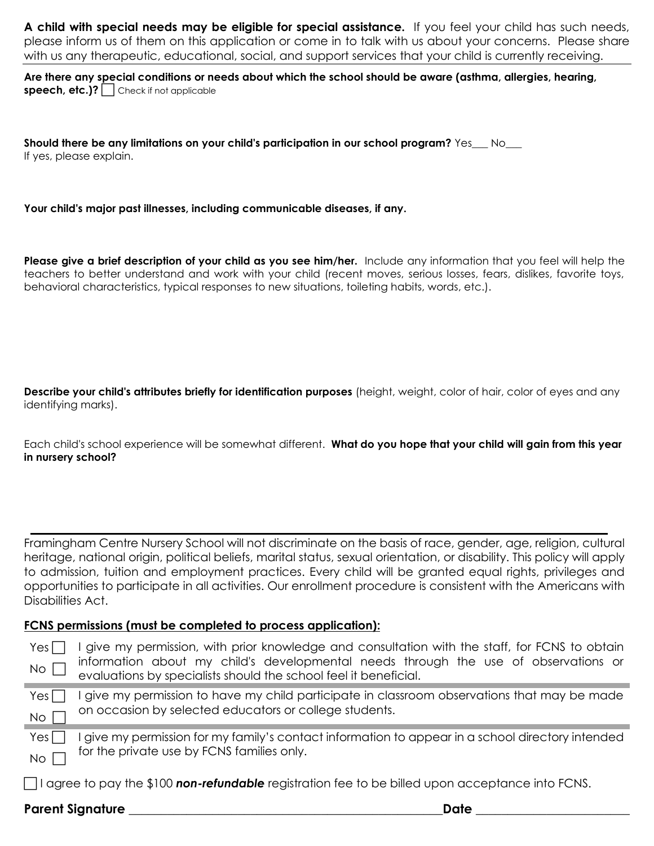**A child with special needs may be eligible for special assistance.** If you feel your child has such needs, please inform us of them on this application or come in to talk with us about your concerns. Please share with us any therapeutic, educational, social, and support services that your child is currently receiving.

**Are there any special conditions or needs about which the school should be aware (asthma, allergies, hearing, speech, etc.)?** Check if not applicable

**Should there be any limitations on your child's participation in our school program?** Yes\_\_\_ No\_\_\_ If yes, please explain.

**Your child's major past illnesses, including communicable diseases, if any.** 

**Please give a brief description of your child as you see him/her.** Include any information that you feel will help the teachers to better understand and work with your child (recent moves, serious losses, fears, dislikes, favorite toys, behavioral characteristics, typical responses to new situations, toileting habits, words, etc.).

**Describe your child's attributes briefly for identification purposes** (height, weight, color of hair, color of eyes and any identifying marks).

Each child's school experience will be somewhat different. **What do you hope that your child will gain from this year in nursery school?** 

Framingham Centre Nursery School will not discriminate on the basis of race, gender, age, religion, cultural heritage, national origin, political beliefs, marital status, sexual orientation, or disability. This policy will apply to admission, tuition and employment practices. Every child will be granted equal rights, privileges and opportunities to participate in all activities. Our enrollment procedure is consistent with the Americans with Disabilities Act.

#### **FCNS permissions (must be completed to process application):**

| Yes<br>No <sub>l</sub> | I give my permission, with prior knowledge and consultation with the staff, for FCNS to obtain<br>information about my child's developmental needs through the use of observations or<br>evaluations by specialists should the school feel it beneficial. |
|------------------------|-----------------------------------------------------------------------------------------------------------------------------------------------------------------------------------------------------------------------------------------------------------|
| $Yes \Box$             | give my permission to have my child participate in classroom observations that may be made<br>on occasion by selected educators or college students.                                                                                                      |
| No<br>Yes <sub>l</sub> | I give my permission for my family's contact information to appear in a school directory intended                                                                                                                                                         |
| No                     | for the private use by FCNS families only.                                                                                                                                                                                                                |
|                        | $\Box$ I agree to pay the \$100 non-refundable registration fee to be billed upon acceptance into FCNS.                                                                                                                                                   |

### **Parent Signature \_\_\_\_\_\_\_\_\_\_\_\_\_\_\_\_\_\_\_\_\_\_\_\_\_\_\_\_\_\_\_\_\_\_\_\_\_\_\_\_\_\_\_\_\_\_\_\_\_Date \_\_\_\_\_\_\_\_\_\_\_\_\_\_\_\_\_\_\_\_\_\_\_\_**